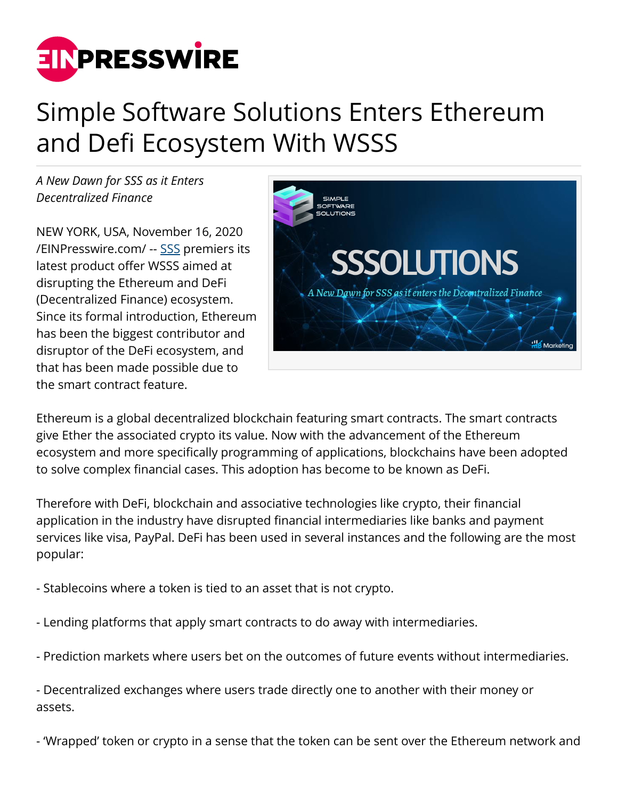

## Simple Software Solutions Enters Ethereum and Defi Ecosystem With WSSS

*A New Dawn for SSS as it Enters Decentralized Finance*

NEW YORK, USA, November 16, 2020 [/EINPresswire.com/](http://www.einpresswire.com) -- [SSS](https://sssolutions.io/) premiers its latest product offer WSSS aimed at disrupting the Ethereum and DeFi (Decentralized Finance) ecosystem. Since its formal introduction, Ethereum has been the biggest contributor and disruptor of the DeFi ecosystem, and that has been made possible due to the smart contract feature.



Ethereum is a global decentralized blockchain featuring smart contracts. The smart contracts give Ether the associated crypto its value. Now with the advancement of the Ethereum ecosystem and more specifically programming of applications, blockchains have been adopted to solve complex financial cases. This adoption has become to be known as DeFi.

Therefore with DeFi, blockchain and associative technologies like crypto, their financial application in the industry have disrupted financial intermediaries like banks and payment services like visa, PayPal. DeFi has been used in several instances and the following are the most popular:

- Stablecoins where a token is tied to an asset that is not crypto.

- Lending platforms that apply smart contracts to do away with intermediaries.

- Prediction markets where users bet on the outcomes of future events without intermediaries.

- Decentralized exchanges where users trade directly one to another with their money or assets.

- 'Wrapped' token or crypto in a sense that the token can be sent over the Ethereum network and